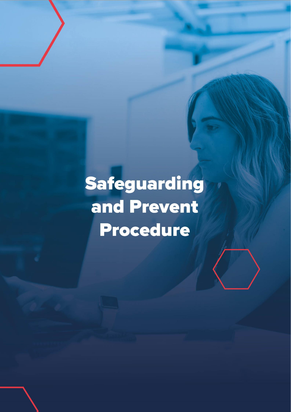# Safeguarding and Prevent **Procedure**

 $\theta$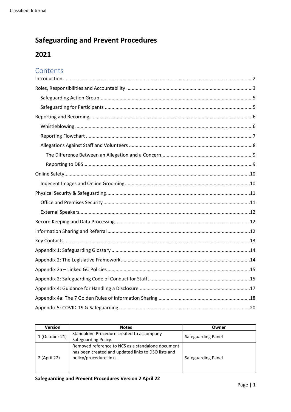# **Safeguarding and Prevent Procedures**

# 2021

# Contents

| <b>Version</b> | <b>Notes</b>                                        | Owner              |
|----------------|-----------------------------------------------------|--------------------|
| 1 (October 21) | Standalone Procedure created to accompany           | Safeguarding Panel |
|                | Safeguarding Policy.                                |                    |
| 2 (April 22)   | Removed reference to NCS as a standalone document   |                    |
|                | has been created and updated links to DSO lists and |                    |
|                | policy/procedure links.                             | Safeguarding Panel |
|                |                                                     |                    |
|                |                                                     |                    |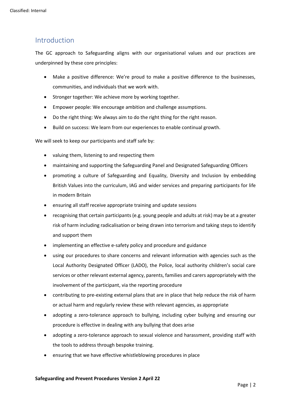## <span id="page-2-0"></span>Introduction

The GC approach to Safeguarding aligns with our organisational values and our practices are underpinned by these core principles:

- Make a positive difference: We're proud to make a positive difference to the businesses, communities, and individuals that we work with.
- Stronger together: We achieve more by working together.
- Empower people: We encourage ambition and challenge assumptions.
- Do the right thing: We always aim to do the right thing for the right reason.
- Build on success: We learn from our experiences to enable continual growth.

We will seek to keep our participants and staff safe by:

- valuing them, listening to and respecting them
- maintaining and supporting the Safeguarding Panel and Designated Safeguarding Officers
- promoting a culture of Safeguarding and Equality, Diversity and Inclusion by embedding British Values into the curriculum, IAG and wider services and preparing participants for life in modern Britain
- ensuring all staff receive appropriate training and update sessions
- recognising that certain participants (e.g. young people and adults at risk) may be at a greater risk of harm including radicalisation or being drawn into terrorism and taking steps to identify and support them
- implementing an effective e-safety policy and procedure and guidance
- using our procedures to share concerns and relevant information with agencies such as the Local Authority Designated Officer (LADO), the Police, local authority children's social care services or other relevant external agency, parents, families and carers appropriately with the involvement of the participant, via the reporting procedure
- contributing to pre-existing external plans that are in place that help reduce the risk of harm or actual harm and regularly review these with relevant agencies, as appropriate
- adopting a zero-tolerance approach to bullying, including cyber bullying and ensuring our procedure is effective in dealing with any bullying that does arise
- adopting a zero-tolerance approach to sexual violence and harassment, providing staff with the tools to address through bespoke training.
- ensuring that we have effective whistleblowing procedures in place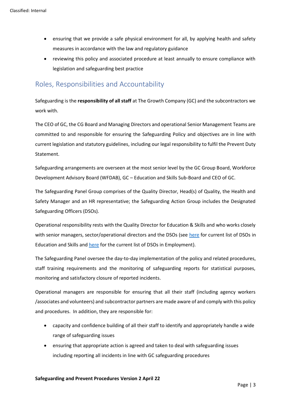- ensuring that we provide a safe physical environment for all, by applying health and safety measures in accordance with the law and regulatory guidance
- reviewing this policy and associated procedure at least annually to ensure compliance with legislation and safeguarding best practice

## <span id="page-3-0"></span>Roles, Responsibilities and Accountability

Safeguarding is the **responsibility of all staff** at The Growth Company (GC) and the subcontractors we work with.

The CEO of GC, the CG Board and Managing Directors and operational Senior Management Teams are committed to and responsible for ensuring the Safeguarding Policy and objectives are in line with current legislation and statutory guidelines, including our legal responsibility to fulfil the Prevent Duty Statement.

Safeguarding arrangements are overseen at the most senior level by the GC Group Board, Workforce Development Advisory Board (WFDAB), GC – Education and Skills Sub-Board and CEO of GC.

The Safeguarding Panel Group comprises of the Quality Director, Head(s) of Quality, the Health and Safety Manager and an HR representative; the Safeguarding Action Group includes the Designated Safeguarding Officers (DSOs).

Operational responsibility rests with the Quality Director for Education & Skills and who works closely with senior managers, sector/operational directors and the DSOs (see [here](https://manchestergrowthcouk.sharepoint.com/:w:/s/Group%20Shared/EdoYYEgJuTVAhXGknhNf6loB_J1LHcdDilDiZWLskMyJ0w?e=YZEN0r) for current list of DSOs in Education and Skills and [here](https://manchestergrowthcouk.sharepoint.com/:w:/r/sites/Group%20Shared/_layouts/15/Doc.aspx?sourcedoc=%7BDD08F83F-F015-43A5-BF73-D4CDDC883AE7%7D&file=Employment%20DSOs%20List.docx&action=default&mobileredirect=true) for the current list of DSOs in Employment).

The Safeguarding Panel oversee the day-to-day implementation of the policy and related procedures, staff training requirements and the monitoring of safeguarding reports for statistical purposes, monitoring and satisfactory closure of reported incidents.

Operational managers are responsible for ensuring that all their staff (including agency workers /associates and volunteers) and subcontractor partners are made aware of and comply with this policy and procedures. In addition, they are responsible for:

- capacity and confidence building of all their staff to identify and appropriately handle a wide range of safeguarding issues
- ensuring that appropriate action is agreed and taken to deal with safeguarding issues including reporting all incidents in line with GC safeguarding procedures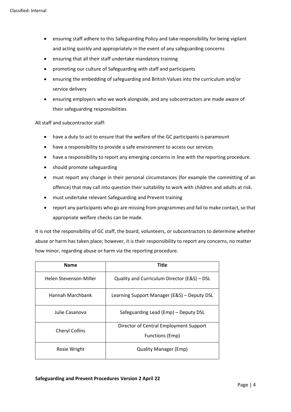- ensuring staff adhere to this Safeguarding Policy and take responsibility for being vigilant and acting quickly and appropriately in the event of any safeguarding concerns
- ensuring that all their staff undertake mandatory training
- promoting our culture of Safeguarding with staff and participants
- ensuring the embedding of safeguarding and British Values into the curriculum and/or service delivery
- ensuring employers who we work alongside, and any subcontractors are made aware of their safeguarding responsibilities

All staff and subcontractor staff:

- have a duty to act to ensure that the welfare of the GC participants is paramount
- have a responsibility to provide a safe environment to access our services
- have a responsibility to report any emerging concerns in line with the reporting procedure.
- should promote safeguarding
- must report any change in their personal circumstances (for example the committing of an offence) that may call into question their suitability to work with children and adults at risk.
- must undertake relevant Safeguarding and Prevent training
- report any participants who go are missing from programmes and fail to make contact, so that appropriate welfare checks can be made.

It is not the responsibility of GC staff, the board, volunteers, or subcontractors to determine whether abuse or harm has taken place; however, it is their responsibility to report any concerns, no matter how minor, regarding abuse or harm via the reporting procedure.

| <b>Name</b>            | <b>Title</b>                                                     |
|------------------------|------------------------------------------------------------------|
| Helen Stevenson-Miller | Quality and Curriculum Director (E&S) – DSL                      |
| Hannah Marchbank       | Learning Support Manager (E&S) - Deputy DSL                      |
| Julie Casanova         | Safeguarding Lead (Emp) - Deputy DSL                             |
| <b>Cheryl Collins</b>  | Director of Central Employment Support<br><b>Functions (Emp)</b> |
| Rosie Wright           | <b>Quality Manager (Emp)</b>                                     |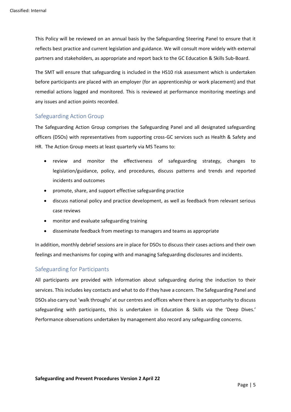This Policy will be reviewed on an annual basis by the Safeguarding Steering Panel to ensure that it reflects best practice and current legislation and guidance. We will consult more widely with external partners and stakeholders, as appropriate and report back to the GC Education & Skills Sub-Board.

The SMT will ensure that safeguarding is included in the HS10 risk assessment which is undertaken before participants are placed with an employer (for an apprenticeship or work placement) and that remedial actions logged and monitored. This is reviewed at performance monitoring meetings and any issues and action points recorded.

## <span id="page-5-0"></span>Safeguarding Action Group

The Safeguarding Action Group comprises the Safeguarding Panel and all designated safeguarding officers (DSOs) with representatives from supporting cross-GC services such as Health & Safety and HR. The Action Group meets at least quarterly via MS Teams to:

- review and monitor the effectiveness of safeguarding strategy, changes to legislation/guidance, policy, and procedures, discuss patterns and trends and reported incidents and outcomes
- promote, share, and support effective safeguarding practice
- discuss national policy and practice development, as well as feedback from relevant serious case reviews
- monitor and evaluate safeguarding training
- disseminate feedback from meetings to managers and teams as appropriate

In addition, monthly debrief sessions are in place for DSOs to discuss their cases actions and their own feelings and mechanisms for coping with and managing Safeguarding disclosures and incidents.

## <span id="page-5-1"></span>Safeguarding for Participants

All participants are provided with information about safeguarding during the induction to their services. This includes key contacts and what to do if they have a concern. The Safeguarding Panel and DSOs also carry out 'walk throughs' at our centres and offices where there is an opportunity to discuss safeguarding with participants, this is undertaken in Education & Skills via the 'Deep Dives.' Performance observations undertaken by management also record any safeguarding concerns.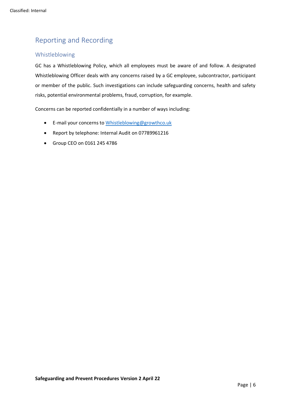# <span id="page-6-0"></span>Reporting and Recording

## <span id="page-6-1"></span>Whistleblowing

GC has a Whistleblowing Policy, which all employees must be aware of and follow. A designated Whistleblowing Officer deals with any concerns raised by a GC employee, subcontractor, participant or member of the public. Such investigations can include safeguarding concerns, health and safety risks, potential environmental problems, fraud, corruption, for example.

Concerns can be reported confidentially in a number of ways including:

- E-mail your concerns to [Whistleblowing@growthco.uk](mailto:Whistleblowing@growthco.uk)
- Report by telephone: Internal Audit on 07789961216
- Group CEO on 0161 245 4786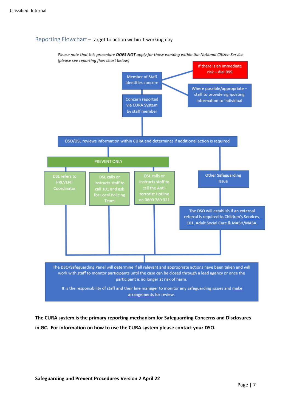## <span id="page-7-0"></span>Reporting Flowchart – target to action within 1 working day

Please note that this procedure DOES NOT apply for those working within the National Citizen Service (please see reporting flow chart below)



**The CURA system is the primary reporting mechanism for Safeguarding Concerns and Disclosures in GC. For information on how to use the CURA system please contact your DSO.**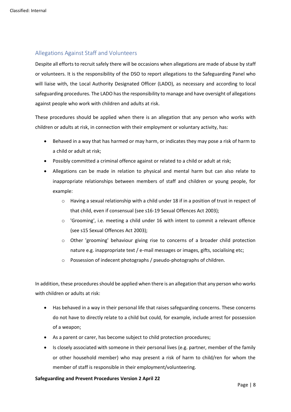## <span id="page-8-0"></span>Allegations Against Staff and Volunteers

Despite all efforts to recruit safely there will be occasions when allegations are made of abuse by staff or volunteers. It is the responsibility of the DSO to report allegations to the Safeguarding Panel who will liaise with, the Local Authority Designated Officer (LADO), as necessary and according to local safeguarding procedures. The LADO has the responsibility to manage and have oversight of allegations against people who work with children and adults at risk.

These procedures should be applied when there is an allegation that any person who works with children or adults at risk, in connection with their employment or voluntary activity, has:

- Behaved in a way that has harmed or may harm, or indicates they may pose a risk of harm to a child or adult at risk;
- Possibly committed a criminal offence against or related to a child or adult at risk;
- Allegations can be made in relation to physical and mental harm but can also relate to inappropriate relationships between members of staff and children or young people, for example:
	- $\circ$  Having a sexual relationship with a child under 18 if in a position of trust in respect of that child, even if consensual (see s16-19 Sexual Offences Act 2003);
	- $\circ$  'Grooming', i.e. meeting a child under 16 with intent to commit a relevant offence (see s15 Sexual Offences Act 2003);
	- o Other 'grooming' behaviour giving rise to concerns of a broader child protection nature e.g. inappropriate text / e-mail messages or images, gifts, socialising etc;
	- o Possession of indecent photographs / pseudo-photographs of children.

In addition, these procedures should be applied when there is an allegation that any person who works with children or adults at risk:

- Has behaved in a way in their personal life that raises safeguarding concerns. These concerns do not have to directly relate to a child but could, for example, include arrest for possession of a weapon;
- As a parent or carer, has become subject to child protection procedures;
- Is closely associated with someone in their personal lives (e.g. partner, member of the family or other household member) who may present a risk of harm to child/ren for whom the member of staff is responsible in their employment/volunteering.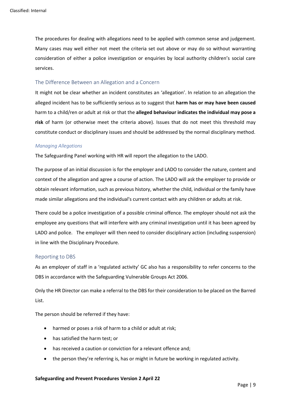The procedures for dealing with allegations need to be applied with common sense and judgement. Many cases may well either not meet the criteria set out above or may do so without warranting consideration of either a police investigation or enquiries by local authority children's social care services.

#### <span id="page-9-0"></span>The Difference Between an Allegation and a Concern

It might not be clear whether an incident constitutes an 'allegation'. In relation to an allegation the alleged incident has to be sufficiently serious as to suggest that **harm has or may have been caused** harm to a child/ren or adult at risk or that the **alleged behaviour indicates the individual may pose a risk** of harm (or otherwise meet the criteria above). Issues that do not meet this threshold may constitute conduct or disciplinary issues and should be addressed by the normal disciplinary method.

#### *Managing Allegations*

The Safeguarding Panel working with HR will report the allegation to the LADO.

The purpose of an initial discussion is for the employer and LADO to consider the nature, content and context of the allegation and agree a course of action. The LADO will ask the employer to provide or obtain relevant information, such as previous history, whether the child, individual or the family have made similar allegations and the individual's current contact with any children or adults at risk.

There could be a police investigation of a possible criminal offence. The employer should not ask the employee any questions that will interfere with any criminal investigation until it has been agreed by LADO and police. The employer will then need to consider disciplinary action (including suspension) in line with the Disciplinary Procedure.

#### <span id="page-9-1"></span>Reporting to DBS

As an employer of staff in a 'regulated activity' GC also has a responsibility to refer concerns to the DBS in accordance with the Safeguarding Vulnerable Groups Act 2006.

Only the HR Director can make a referral to the DBS for their consideration to be placed on the Barred List.

The person should be referred if they have:

- harmed or poses a risk of harm to a child or adult at risk;
- has satisfied the harm test; or
- has received a caution or conviction for a relevant offence and;
- the person they're referring is, has or might in future be working in regulated activity.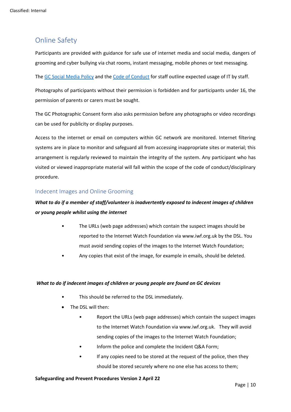# <span id="page-10-0"></span>Online Safety

Participants are provided with guidance for safe use of internet media and social media, dangers of grooming and cyber bullying via chat rooms, instant messaging, mobile phones or text messaging.

The [GC Social Media Policy](https://manchestergrowthcouk.sharepoint.com/:w:/r/sites/GSHPT/_layouts/15/Doc.aspx?sourcedoc=%7B7845F934-F935-402C-B6C6-50ECD41D6041%7D&file=GC%20Social%20Media%20Policy.docx&wdLOR=c00E6C759-CA6B-4375-BDE1-39EE2CA9084B&action=default&mobileredirect=true) and the [Code of Conduct](https://manchestergrowthcouk.sharepoint.com/:w:/r/sites/GSHPT/_layouts/15/Doc.aspx?sourcedoc=%7B1B51B725-F9BD-4FE2-98DE-55A6124162E4%7D&file=Code%20of%20Conduct.doc&action=default&mobileredirect=true) for staff outline expected usage of IT by staff.

Photographs of participants without their permission is forbidden and for participants under 16, the permission of parents or carers must be sought.

The GC Photographic Consent form also asks permission before any photographs or video recordings can be used for publicity or display purposes.

Access to the internet or email on computers within GC network are monitored. Internet filtering systems are in place to monitor and safeguard all from accessing inappropriate sites or material; this arrangement is regularly reviewed to maintain the integrity of the system. Any participant who has visited or viewed inappropriate material will fall within the scope of the code of conduct/disciplinary procedure.

## <span id="page-10-1"></span>Indecent Images and Online Grooming

## *What to do if a member of staff/volunteer is inadvertently exposed to indecent images of children or young people whilst using the internet*

- The URLs (web page addresses) which contain the suspect images should be reported to the Internet Watch Foundation via www.iwf.org.uk by the DSL. You must avoid sending copies of the images to the Internet Watch Foundation;
- Any copies that exist of the image, for example in emails, should be deleted.

#### *What to do if indecent images of children or young people are found on GC devices*

- This should be referred to the DSL immediately.
- The DSL will then:
	- Report the URLs (web page addresses) which contain the suspect images to the Internet Watch Foundation via www.iwf.org.uk. They will avoid sending copies of the images to the Internet Watch Foundation;
	- Inform the police and complete the Incident Q&A Form;
	- If any copies need to be stored at the request of the police, then they should be stored securely where no one else has access to them;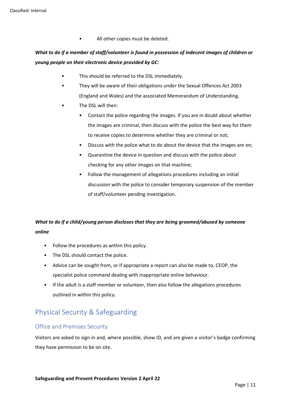• All other copies must be deleted.

## *What to do if a member of staff/volunteer is found in possession of indecent images of children or young people on their electronic device provided by GC:*

- This should be referred to the DSL immediately.
- They will be aware of their obligations under the Sexual Offences Act 2003 (England and Wales) and the associated Memorandum of Understanding.
- The DSL will then:
	- Contact the police regarding the images. If you are in doubt about whether the images are criminal, then discuss with the police the best way for them to receive copies to determine whether they are criminal or not;
	- Discuss with the police what to do about the device that the images are on;
	- Quarantine the device in question and discuss with the police about checking for any other images on that machine;
	- Follow the management of allegations procedures including an initial discussion with the police to consider temporary suspension of the member of staff/volunteer pending investigation.

## *What to do if a child/young person discloses that they are being groomed/abused by someone online*

- Follow the procedures as within this policy.
- The DSL should contact the police.
- Advice can be sought from, or if appropriate a report can also be made to, CEOP, the specialist police command dealing with inappropriate online behaviour.
- If the adult is a staff member or volunteer, then also follow the allegations procedures outlined in within this policy.

# <span id="page-11-0"></span>Physical Security & Safeguarding

## <span id="page-11-1"></span>Office and Premises Security

Visitors are asked to sign in and, where possible, show ID, and are given a visitor's badge confirming they have permission to be on site.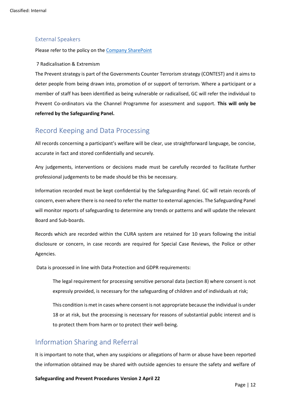## <span id="page-12-0"></span>External Speakers

Please refer to the policy on the [Company SharePoint](https://manchestergrowthcouk.sharepoint.com/:w:/r/sites/GSHPT/_layouts/15/Doc.aspx?sourcedoc=%7B5BFDF319-FDBD-4CBE-8832-482BA25FFC65%7D&file=External%20Speakers%20August%202020.docx&action=default&mobileredirect=true)

#### 7 Radicalisation & Extremism

The Prevent strategy is part of the Governments Counter Terrorism strategy (CONTEST) and it aims to deter people from being drawn into, promotion of or support of terrorism. Where a participant or a member of staff has been identified as being vulnerable or radicalised, GC will refer the individual to Prevent Co-ordinators via the Channel Programme for assessment and support. **This will only be referred by the Safeguarding Panel.**

## <span id="page-12-1"></span>Record Keeping and Data Processing

All records concerning a participant's welfare will be clear, use straightforward language, be concise, accurate in fact and stored confidentially and securely.

Any judgements, interventions or decisions made must be carefully recorded to facilitate further professional judgements to be made should be this be necessary.

Information recorded must be kept confidential by the Safeguarding Panel. GC will retain records of concern, even where there is no need to refer the matter to external agencies. The Safeguarding Panel will monitor reports of safeguarding to determine any trends or patterns and will update the relevant Board and Sub-boards.

Records which are recorded within the CURA system are retained for 10 years following the initial disclosure or concern, in case records are required for Special Case Reviews, the Police or other Agencies.

Data is processed in line with Data Protection and GDPR requirements:

The legal requirement for processing sensitive personal data (section 8) where consent is not expressly provided, is necessary for the safeguarding of children and of individuals at risk;

This condition is met in cases where consent is not appropriate because the individual is under 18 or at risk, but the processing is necessary for reasons of substantial public interest and is to protect them from harm or to protect their well-being.

## <span id="page-12-2"></span>Information Sharing and Referral

It is important to note that, when any suspicions or allegations of harm or abuse have been reported the information obtained may be shared with outside agencies to ensure the safety and welfare of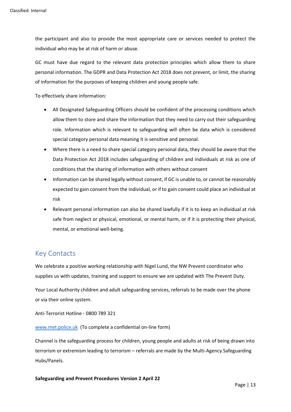the participant and also to provide the most appropriate care or services needed to protect the individual who may be at risk of harm or abuse.

GC must have due regard to the relevant data protection principles which allow them to share personal information. The GDPR and Data Protection Act 2018 does not prevent, or limit, the sharing of information for the purposes of keeping children and young people safe.

To effectively share information:

- All Designated Safeguarding Officers should be confident of the processing conditions which allow them to store and share the information that they need to carry out their safeguarding role. Information which is relevant to safeguarding will often be data which is considered special category personal data meaning it is sensitive and personal.
- Where there is a need to share special category personal data, they should be aware that the Data Protection Act 2018 includes safeguarding of children and individuals at risk as one of conditions that the sharing of information with others without consent
- Information can be shared legally without consent, if GC is unable to, or cannot be reasonably expected to gain consent from the individual, or if to gain consent could place an individual at risk
- Relevant personal information can also be shared lawfully if it is to keep an individual at risk safe from neglect or physical, emotional, or mental harm, or if it is protecting their physical, mental, or emotional well-being.

## <span id="page-13-0"></span>Key Contacts

We celebrate a positive working relationship with Nigel Lund, the NW Prevent coordinator who supplies us with updates, training and support to ensure we are updated with The Prevent Duty.

Your Local Authority children and adult safeguarding services, referrals to be made over the phone or via their online system.

Anti-Terrorist Hotline - 0800 789 321

[www.met.police.uk](http://www.met.police.uk/) (To complete a confidential on-line form)

Channel is the safeguarding process for children, young people and adults at risk of being drawn into terrorism or extremism leading to terrorism – referrals are made by the Multi-Agency Safeguarding Hubs/Panels.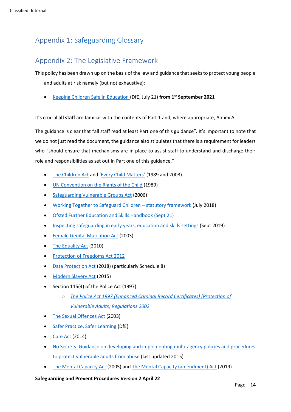# <span id="page-14-0"></span>Appendix 1: [Safeguarding Glossary](https://manchestergrowthcouk.sharepoint.com/:w:/s/SS/EYFzrU3PNTxCpQiot9JB4rsBFYzbuonmnKsMsTGHWxcPCg?e=eUOM20)

# <span id="page-14-1"></span>Appendix 2: The Legislative Framework

This policy has been drawn up on the basis of the law and guidance that seeks to protect young people and adults at risk namely (but not exhaustive):

• [Keeping Children Safe in Education \(](https://assets.publishing.service.gov.uk/government/uploads/system/uploads/attachment_data/file/1007260/Keeping_children_safe_in_education_2021.pdf)DfE, July 21) **from 1 st September 2021**

It's crucial **all staff** are familiar with the contents of Part 1 and, where appropriate, Annex A.

The guidance is clear that "all staff read at least Part one of this guidance". It's important to note that we do not just read the document, the guidance also stipulates that there is a requirement for leaders who "should ensure that mechanisms are in place to assist staff to understand and discharge their role and responsibilities as set out in Part one of this guidance."

- [The Children Act](https://www.legislation.gov.uk/ukpga/1989/41/contents) and ['Every Child Matters'](https://assets.publishing.service.gov.uk/government/uploads/system/uploads/attachment_data/file/272064/5860.pdf) (1989 and 2003)
- [UN Convention on the Rights of the Child](https://downloads.unicef.org.uk/wp-content/uploads/2010/05/UNCRC_united_nations_convention_on_the_rights_of_the_child.pdf?_ga=2.220499288.1504975767.1594628785-659700353.1594628785) (1989)
- [Safeguarding Vulnerable Groups Act](http://www.legislation.gov.uk/ukpga/2006/47/contents) (2006)
- [Working Together to Safeguard Children](https://assets.publishing.service.gov.uk/government/uploads/system/uploads/attachment_data/file/779401/Working_Together_to_Safeguard-Children.pdf)  statutory framework (July 2018)
- [Ofsted Further Education and Skills Handbook \(Sept 21\)](https://www.gov.uk/government/publications/further-education-and-skills-inspection-handbook-eif/further-education-and-skills-handbook-for-september-2021)
- [Inspecting safeguarding in early years, education and skills settings](https://assets.publishing.service.gov.uk/government/uploads/system/uploads/attachment_data/file/828763/Inspecting_safeguarding_in_early_years__education_and_skills.pdf) (Sept 2019)
- [Female Genital Mutilation Act](https://www.legislation.gov.uk/ukpga/2003/31/contents) (2003)
- [The Equality Act](https://www.legislation.gov.uk/ukpga/2010/15/contents) (2010)
- [Protection of Freedoms Act 2012](http://www.legislation.gov.uk/ukpga/2012/9/contents/enacted)
- [Data Protection Act](http://www.legislation.gov.uk/ukpga/2018/12/contents/enacted) (2018) (particularly Schedule 8)
- [Modern Slavery Act](http://www.legislation.gov.uk/ukpga/2015/30/contents) (2015)
- Section 115(4) of the Police Act (1997)
	- o *[The Police Act 1997 \(Enhanced Criminal Record Certificates\) \(Protection of](https://www.legislation.gov.uk/ukdsi/2002/0110393031#:~:text=Positions%20specified%20for%20the%20purposes%20of%20section%20115%284%29,course%20of%20his%20duties%20with%20a%20vulnerable%20adult.)  [Vulnerable Adults\) Regulations 2002](https://www.legislation.gov.uk/ukdsi/2002/0110393031#:~:text=Positions%20specified%20for%20the%20purposes%20of%20section%20115%284%29,course%20of%20his%20duties%20with%20a%20vulnerable%20adult.)*
- [The Sexual Offences Act](http://www.legislation.gov.uk/ukpga/2003/42/contents) (2003)
- [Safer Practice, Safer Learning](https://api.excellencegateway.org.uk/resource/import-pdf:4619) (DfE)
- [Care Act](http://www.legislation.gov.uk/ukpga/2014/23/contents/enacted) (2014)
- [No Secrets: Guidance on developing and implementing multi-agency policies and procedures](https://assets.publishing.service.gov.uk/government/uploads/system/uploads/attachment_data/file/194272/No_secrets__guidance_on_developing_and_implementing_multi-agency_policies_and_procedures_to_protect_vulnerable_adults_from_abuse.pdf)  [to protect vulnerable adults from abuse](https://assets.publishing.service.gov.uk/government/uploads/system/uploads/attachment_data/file/194272/No_secrets__guidance_on_developing_and_implementing_multi-agency_policies_and_procedures_to_protect_vulnerable_adults_from_abuse.pdf) (last updated 2015)
- [The Mental Capacity Act](https://www.legislation.gov.uk/ukpga/2005/9/contents) (2005) and [The Mental Capacity \(amendment\) Act](https://www.legislation.gov.uk/ukpga/2019/18/enacted/data.htm#:~:text=Mental%20Capacity%20%28Amendment%29%20Act%202019%202019%20CHAPTER%2018.,lacks%20capacity%20to%20consent%3B%20and%20for%20connected%20purposes.) (2019)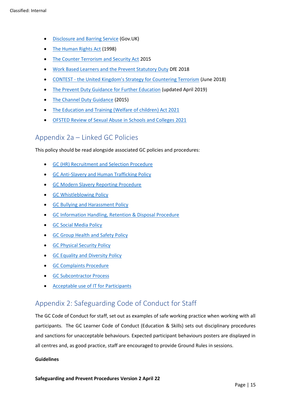- [Disclosure and Barring Service](https://www.gov.uk/government/organisations/disclosure-and-barring-service/about) (Gov.UK)
- [The Human Rights Act](https://www.legislation.gov.uk/ukpga/1998/42/contents) (1998)
- [The Counter Terrorism and Security Act](http://www.legislation.gov.uk/ukpga/2015/6/contents) 2015
- [Work Based Learners and the Prevent Statutory Duty](https://www.gov.uk/government/publications/work-based-learners-and-the-prevent-statutory-duty/guidance-for-providers-on-work-based-learners-and-the-prevent-statutory-duty) DfE 2018
- CONTEST [the United Kingdom's Strategy for Countering Terrorism](https://assets.publishing.service.gov.uk/government/uploads/system/uploads/attachment_data/file/716907/140618_CCS207_CCS0218929798-1_CONTEST_3.0_WEB.pdf) (June 2018)
- [The Prevent Duty Guidance for Further Education](https://www.gov.uk/government/publications/prevent-duty-guidance/prevent-duty-guidance-for-further-education-institutions-in-england-and-wales) (updated April 2019)
- [The Channel Duty Guidance](https://assets.publishing.service.gov.uk/government/uploads/system/uploads/attachment_data/file/964567/6.6271_HO_HMG_Channel_Duty_Guidance_v14_Web.pdf) (2015)
- [The Education and Training \(Welfare of children\) Act 2021](https://www.legislation.gov.uk/ukpga/2021/16)
- [OFSTED Review of Sexual Abuse in Schools and Colleges 2021](https://www.gov.uk/government/publications/review-of-sexual-abuse-in-schools-and-colleges)

## <span id="page-15-0"></span>Appendix 2a – Linked GC Policies

This policy should be read alongside associated GC policies and procedures:

- [GC \(HR\) Recruitment and Selection Procedure](https://manchestergrowthcouk.sharepoint.com/:w:/r/sites/GSHPT/CrossGroup/Policies%20and%20Procedures/Cross%20Group%20Functions/HR/Policies%20and%20Procedures/Recruitment%20and%20Selection%20Policy.docx?d=wf96a339cf9fc47098f51a4ce9f721009&csf=1&web=1&e=Mas1Bq)
- [GC Anti-Slavery and Human Trafficking Policy](https://manchestergrowthcouk.sharepoint.com/:w:/r/sites/GSHPT/_layouts/15/Doc.aspx?sourcedoc=%7B726971B4-A275-484D-B2F6-450C2E4EB5D4%7D&file=Anti%20Slavery%20and%20Human%20Trafficking%20Policy%20V1.docx&action=default&mobileredirect=true)
- [GC Modern Slavery Reporting Procedure](https://manchestergrowthcouk.sharepoint.com/:w:/r/sites/GSHPT/_layouts/15/Doc.aspx?sourcedoc=%7B3A7AB407-F9A3-4BFF-9E0B-0DE2475B0D6B%7D&file=Modern%20Slavery%20Reporting%20Procedure%20V.1.doc&action=default&mobileredirect=true)
- [GC Whistleblowing Policy](https://manchestergrowthcouk.sharepoint.com/:w:/r/sites/GSHPT/CrossGroup/Policies%20and%20Procedures/Cross%20Group%20Functions/Whistleblowing/Whistleblowing%20Policy.docx?d=wfc31132ad8d74aa6912e4a407fc1da0b&csf=1&web=1&e=qo8ejh)
- [GC Bullying and Harassment Policy](https://manchestergrowthcouk.sharepoint.com/:w:/r/sites/GSHPT/_layouts/15/Doc.aspx?sourcedoc=%7B08D02596-AA8A-4011-935B-B89E530449A6%7D&file=Bullying%20and%20Harassment.docx&action=default&mobileredirect=true&DefaultItemOpen=1)
- [GC Information Handling, Retention & Disposal Procedure](https://manchestergrowthcouk.sharepoint.com/:w:/r/sites/GSHPT/_layouts/15/Doc.aspx?sourcedoc=%7BE0B128AE-2E16-4ED1-968D-374F7EA90276%7D&file=GC%20Information%20Handling%2C%20Retention%20and%20Disposal%20Procedure.doc&action=default&mobileredirect=true)
- **GC Social Media Policy**
- [GC Group Health and Safety Policy](https://manchestergrowthcouk.sharepoint.com/sites/GSHPT/CrossGroup/Forms/AllItems.aspx?FolderCTID=0x012000D83B8C420B284C4DBE2276599192C3DF&id=%2Fsites%2FGSHPT%2FCrossGroup%2FHealth%20and%20Safety%2FH%20and%20S%20Policy%2FGroup%20H%20and%20S%20Policy%202021%2Epdf&parent=%2Fsites%2FGSHPT%2FCrossGroup%2FHealth%20and%20Safety%2FH%20and%20S%20Policy)
- [GC Physical Security Policy](https://manchestergrowthcouk.sharepoint.com/:w:/r/sites/GSHPT/_layouts/15/Doc.aspx?sourcedoc=%7BEBF9184F-33A4-43CC-9350-9A3101A71E71%7D&file=GC%20Physical%20Security%20Policy.docx&action=default&mobileredirect=true)
- [GC Equality and Diversity Policy](https://manchestergrowthcouk.sharepoint.com/:w:/r/sites/GSHPT/_layouts/15/Doc.aspx?sourcedoc=%7BCF6F4327-046C-4255-A325-FB15CE8E384A%7D&file=Equality%20and%20Diversity%20Policy.doc&action=default&mobileredirect=true)
- [GC Complaints Procedure](https://manchestergrowthcouk.sharepoint.com/:w:/r/sites/GSHPT/_layouts/15/Doc.aspx?sourcedoc=%7B4943661D-FD6C-4B70-8C28-B885B550DC10%7D&file=GC%20Internal%20Complaints%20and%20Concerns%20Procedure%20v7%20-%20Copy.docx&action=default&mobileredirect=true)
- [GC Subcontractor Process](https://manchestergrowthcouk.sharepoint.com/sites/Group%20Shared/Shared%20Documents/Safeguarding/Group%20Safeguarding/Policies/Subcontractors%20Safeguarding%20Reporting%20Procedure%202021%20.pdf)
- [Acceptable use of IT for](https://manchestergrowthcouk.sharepoint.com/:w:/r/sites/Group%20Shared/_layouts/15/Doc.aspx?sourcedoc=%7BACBB4B3F-510E-4E78-86A6-A077FC15B4B9%7D&file=Acceptable%20Use%20of%20IT%20for%20Participents%20-%20Dec%202021%20v4.doc&action=default&mobileredirect=true) Participants

# <span id="page-15-1"></span>Appendix 2: Safeguarding Code of Conduct for Staff

The GC Code of Conduct for staff, set out as examples of safe working practice when working with all participants. The GC Learner Code of Conduct (Education & Skills) sets out disciplinary procedures and sanctions for unacceptable behaviours. Expected participant behaviours posters are displayed in all centres and, as good practice, staff are encouraged to provide Ground Rules in sessions.

## **Guidelines**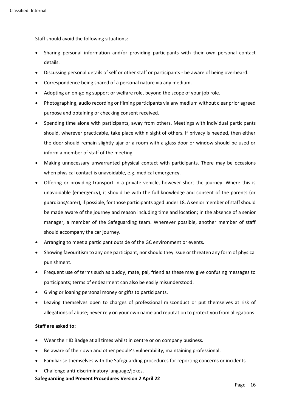Staff should avoid the following situations:

- Sharing personal information and/or providing participants with their own personal contact details.
- Discussing personal details of self or other staff or participants be aware of being overheard.
- Correspondence being shared of a personal nature via any medium.
- Adopting an on-going support or welfare role, beyond the scope of your job role.
- Photographing, audio recording or filming participants via any medium without clear prior agreed purpose and obtaining or checking consent received.
- Spending time alone with participants, away from others. Meetings with individual participants should, wherever practicable, take place within sight of others. If privacy is needed, then either the door should remain slightly ajar or a room with a glass door or window should be used or inform a member of staff of the meeting.
- Making unnecessary unwarranted physical contact with participants. There may be occasions when physical contact is unavoidable, e.g. medical emergency.
- Offering or providing transport in a private vehicle, however short the journey. Where this is unavoidable (emergency), it should be with the full knowledge and consent of the parents (or guardians/carer), if possible, for those participants aged under 18. A senior member of staff should be made aware of the journey and reason including time and location; in the absence of a senior manager, a member of the Safeguarding team. Wherever possible, another member of staff should accompany the car journey.
- Arranging to meet a participant outside of the GC environment or events.
- Showing favouritism to any one participant, nor should they issue or threaten any form of physical punishment.
- Frequent use of terms such as buddy, mate, pal, friend as these may give confusing messages to participants; terms of endearment can also be easily misunderstood.
- Giving or loaning personal money or gifts to participants.
- Leaving themselves open to charges of professional misconduct or put themselves at risk of allegations of abuse; never rely on your own name and reputation to protect you from allegations.

## **Staff are asked to:**

- Wear their ID Badge at all times whilst in centre or on company business.
- Be aware of their own and other people's vulnerability, maintaining professional.
- Familiarise themselves with the Safeguarding procedures for reporting concerns or incidents
- Challenge anti-discriminatory language/jokes.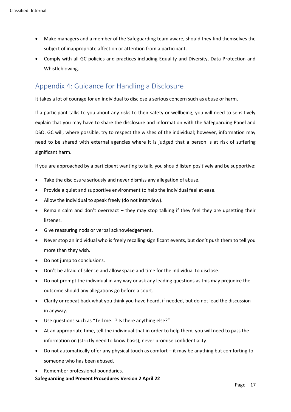- Make managers and a member of the Safeguarding team aware, should they find themselves the subject of inappropriate affection or attention from a participant.
- Comply with all GC policies and practices including Equality and Diversity, Data Protection and Whistleblowing.

# <span id="page-17-0"></span>Appendix 4: Guidance for Handling a Disclosure

It takes a lot of courage for an individual to disclose a serious concern such as abuse or harm.

If a participant talks to you about any risks to their safety or wellbeing, you will need to sensitively explain that you may have to share the disclosure and information with the Safeguarding Panel and DSO. GC will, where possible, try to respect the wishes of the individual; however, information may need to be shared with external agencies where it is judged that a person is at risk of suffering significant harm.

If you are approached by a participant wanting to talk, you should listen positively and be supportive:

- Take the disclosure seriously and never dismiss any allegation of abuse.
- Provide a quiet and supportive environment to help the individual feel at ease.
- Allow the individual to speak freely (do not interview).
- Remain calm and don't overreact they may stop talking if they feel they are upsetting their listener.
- Give reassuring nods or verbal acknowledgement.
- Never stop an individual who is freely recalling significant events, but don't push them to tell you more than they wish.
- Do not jump to conclusions.
- Don't be afraid of silence and allow space and time for the individual to disclose.
- Do not prompt the individual in any way or ask any leading questions as this may prejudice the outcome should any allegations go before a court.
- Clarify or repeat back what you think you have heard, if needed, but do not lead the discussion in anyway.
- Use questions such as "Tell me…? Is there anything else?"
- At an appropriate time, tell the individual that in order to help them, you will need to pass the information on (strictly need to know basis); never promise confidentiality.
- Do not automatically offer any physical touch as comfort it may be anything but comforting to someone who has been abused.

**Safeguarding and Prevent Procedures Version 2 April 22** Remember professional boundaries.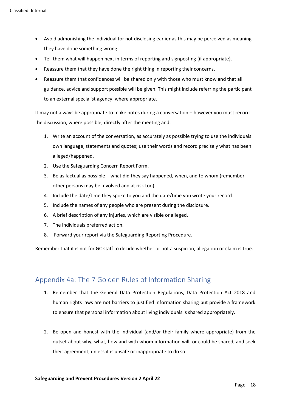- Avoid admonishing the individual for not disclosing earlier as this may be perceived as meaning they have done something wrong.
- Tell them what will happen next in terms of reporting and signposting (if appropriate).
- Reassure them that they have done the right thing in reporting their concerns.
- Reassure them that confidences will be shared only with those who must know and that all guidance, advice and support possible will be given. This might include referring the participant to an external specialist agency, where appropriate.

It may not always be appropriate to make notes during a conversation – however you must record the discussion, where possible, directly after the meeting and:

- 1. Write an account of the conversation, as accurately as possible trying to use the individuals own language, statements and quotes; use their words and record precisely what has been alleged/happened.
- 2. Use the Safeguarding Concern Report Form.
- 3. Be as factual as possible what did they say happened, when, and to whom (remember other persons may be involved and at risk too).
- 4. Include the date/time they spoke to you and the date/time you wrote your record.
- 5. Include the names of any people who are present during the disclosure.
- 6. A brief description of any injuries, which are visible or alleged.
- 7. The individuals preferred action.
- 8. Forward your report via the Safeguarding Reporting Procedure.

Remember that it is not for GC staff to decide whether or not a suspicion, allegation or claim is true.

## <span id="page-18-0"></span>Appendix 4a: The 7 Golden Rules of Information Sharing

- 1. Remember that the General Data Protection Regulations, Data Protection Act 2018 and human rights laws are not barriers to justified information sharing but provide a framework to ensure that personal information about living individuals is shared appropriately.
- 2. Be open and honest with the individual (and/or their family where appropriate) from the outset about why, what, how and with whom information will, or could be shared, and seek their agreement, unless it is unsafe or inappropriate to do so.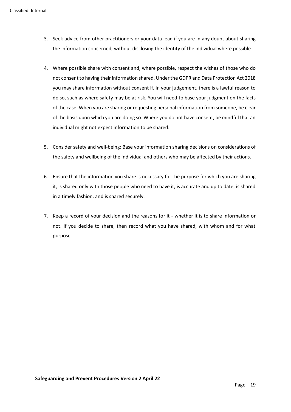- 3. Seek advice from other practitioners or your data lead if you are in any doubt about sharing the information concerned, without disclosing the identity of the individual where possible.
- 4. Where possible share with consent and, where possible, respect the wishes of those who do not consent to having their information shared. Under the GDPR and Data Protection Act 2018 you may share information without consent if, in your judgement, there is a lawful reason to do so, such as where safety may be at risk. You will need to base your judgment on the facts of the case. When you are sharing or requesting personal information from someone, be clear of the basis upon which you are doing so. Where you do not have consent, be mindful that an individual might not expect information to be shared.
- 5. Consider safety and well-being: Base your information sharing decisions on considerations of the safety and wellbeing of the individual and others who may be affected by their actions.
- 6. Ensure that the information you share is necessary for the purpose for which you are sharing it, is shared only with those people who need to have it, is accurate and up to date, is shared in a timely fashion, and is shared securely.
- 7. Keep a record of your decision and the reasons for it whether it is to share information or not. If you decide to share, then record what you have shared, with whom and for what purpose.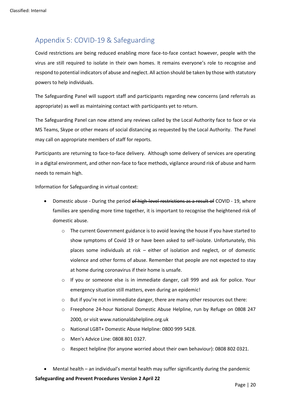# <span id="page-20-0"></span>Appendix 5: COVID-19 & Safeguarding

Covid restrictions are being reduced enabling more face-to-face contact however, people with the virus are still required to isolate in their own homes. It remains everyone's role to recognise and respond to potential indicators of abuse and neglect. All action should be taken by those with statutory powers to help individuals.

The Safeguarding Panel will support staff and participants regarding new concerns (and referrals as appropriate) as well as maintaining contact with participants yet to return.

The Safeguarding Panel can now attend any reviews called by the Local Authority face to face or via MS Teams, Skype or other means of social distancing as requested by the Local Authority. The Panel may call on appropriate members of staff for reports.

Participants are returning to face-to-face delivery. Although some delivery of services are operating in a digital environment, and other non-face to face methods, vigilance around risk of abuse and harm needs to remain high.

Information for Safeguarding in virtual context:

- Domestic abuse During the period of high-level restrictions as a result of COVID 19, where families are spending more time together, it is important to recognise the heightened risk of domestic abuse.
	- $\circ$  The current Government guidance is to avoid leaving the house if you have started to show symptoms of Covid 19 or have been asked to self-isolate. Unfortunately, this places some individuals at risk – either of isolation and neglect, or of domestic violence and other forms of abuse. Remember that people are not expected to stay at home during coronavirus if their home is unsafe.
	- $\circ$  If you or someone else is in immediate danger, call 999 and ask for police. Your emergency situation still matters, even during an epidemic!
	- $\circ$  But if you're not in immediate danger, there are many other resources out there:
	- o Freephone 24-hour National Domestic Abuse Helpline, run by Refuge on 0808 247 2000, or visit www.nationaldahelpline.org.uk
	- o National LGBT+ Domestic Abuse Helpline: 0800 999 5428.
	- o Men's Advice Line: 0808 801 0327.
	- o Respect helpline (for anyone worried about their own behaviour): 0808 802 0321.
- Mental health an individual's mental health may suffer significantly during the pandemic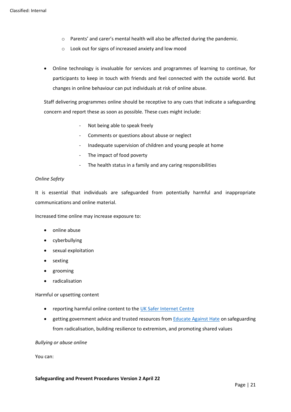- o Parents' and carer's mental health will also be affected during the pandemic.
- o Look out for signs of increased anxiety and low mood
- Online technology is invaluable for services and programmes of learning to continue, for participants to keep in touch with friends and feel connected with the outside world. But changes in online behaviour can put individuals at risk of online abuse.

Staff delivering programmes online should be receptive to any cues that indicate a safeguarding concern and report these as soon as possible. These cues might include:

- Not being able to speak freely
- Comments or questions about abuse or neglect
- Inadequate supervision of children and young people at home
- The impact of food poverty
- The health status in a family and any caring responsibilities

### *Online Safety*

It is essential that individuals are safeguarded from potentially harmful and inappropriate communications and online material.

Increased time online may increase exposure to:

- online abuse
- cyberbullying
- sexual exploitation
- sexting
- grooming
- radicalisation

Harmful or upsetting content

- reporting harmful online content to the [UK Safer Internet Centre](https://reportharmfulcontent.com/)
- getting government advice and trusted resources from **Educate Against Hate on safeguarding** from radicalisation, building resilience to extremism, and promoting shared values

*Bullying or abuse online*

You can: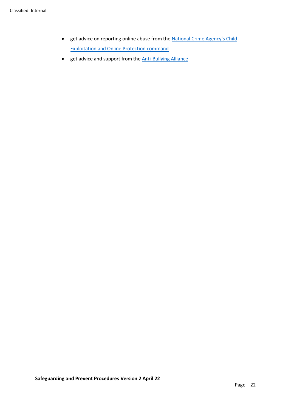- get advice on reporting online abuse from the **National Crime Agency's Child** [Exploitation and Online Protection command](https://www.ceop.police.uk/safety-centre/)
- get advice and support from the **Anti-Bullying Alliance**